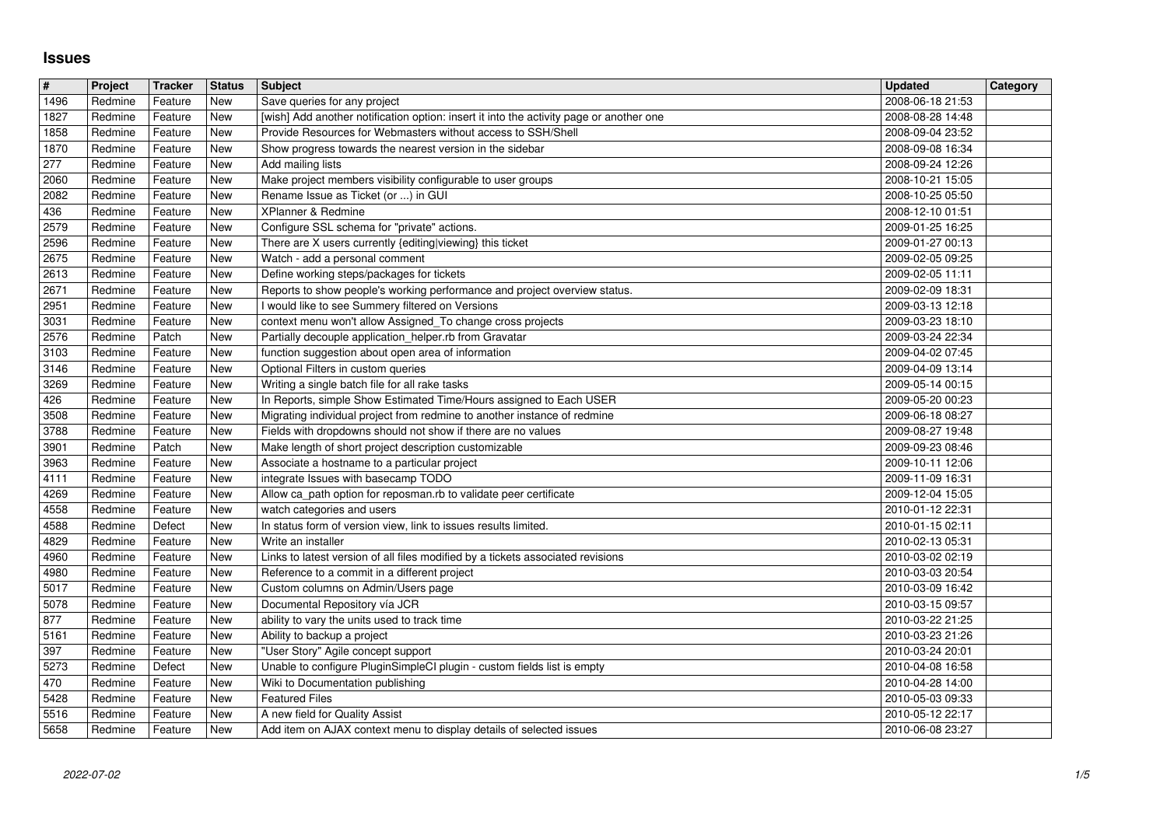## **Issues**

| $\sqrt{\frac{4}{15}}$ | Project            | <b>Tracker</b>     | <b>Status</b> | <b>Subject</b>                                                                                                                           | <b>Updated</b>                       | Category |
|-----------------------|--------------------|--------------------|---------------|------------------------------------------------------------------------------------------------------------------------------------------|--------------------------------------|----------|
| $\sqrt{1496}$<br>1827 | Redmine<br>Redmine | Feature<br>Feature | New<br>New    | Save queries for any project<br>[wish] Add another notification option: insert it into the activity page or another one                  | 2008-06-18 21:53<br>2008-08-28 14:48 |          |
| 1858                  | Redmine            | Feature            | New           | Provide Resources for Webmasters without access to SSH/Shell                                                                             | 2008-09-04 23:52                     |          |
| 1870                  | Redmine            | Feature            | New           | Show progress towards the nearest version in the sidebar                                                                                 | 2008-09-08 16:34                     |          |
| 277<br>2060           | Redmine<br>Redmine | Feature<br>Feature | New<br>New    | Add mailing lists<br>Make project members visibility configurable to user groups                                                         | 2008-09-24 12:26<br>2008-10-21 15:05 |          |
| 2082                  | Redmine            | Feature            | New           | Rename Issue as Ticket (or ) in GUI                                                                                                      | 2008-10-25 05:50                     |          |
| 436<br>2579           | Redmine<br>Redmine | Feature<br>Feature | New<br>New    | XPlanner & Redmine<br>Configure SSL schema for "private" actions.                                                                        | 2008-12-10 01:51<br>2009-01-25 16:25 |          |
| 2596                  | Redmine            | Feature            | New           | There are X users currently {editing viewing} this ticket                                                                                | 2009-01-27 00:13                     |          |
| 2675                  | Redmine            | Feature            | New           | Watch - add a personal comment                                                                                                           | 2009-02-05 09:25                     |          |
| 2613<br>2671          | Redmine<br>Redmine | Feature<br>Feature | New<br>New    | Define working steps/packages for tickets<br>Reports to show people's working performance and project overview status.                   | 2009-02-05 11:11<br>2009-02-09 18:31 |          |
| 2951                  | Redmine            | Feature            | New           | I would like to see Summery filtered on Versions                                                                                         | 2009-03-13 12:18                     |          |
| 3031<br>2576          | Redmine<br>Redmine | Feature<br>Patch   | New<br>New    | context menu won't allow Assigned_To change cross projects<br>Partially decouple application_helper.rb from Gravatar                     | 2009-03-23 18:10<br>2009-03-24 22:34 |          |
| 3103                  | Redmine            | Feature            | New           | function suggestion about open area of information                                                                                       | 2009-04-02 07:45                     |          |
| 3146<br>3269          | Redmine<br>Redmine | Feature<br>Feature | New<br>New    | Optional Filters in custom queries<br>Writing a single batch file for all rake tasks                                                     | 2009-04-09 13:14<br>2009-05-14 00:15 |          |
| 426                   | Redmine            | Feature            | New           | In Reports, simple Show Estimated Time/Hours assigned to Each USER                                                                       | 2009-05-20 00:23                     |          |
| 3508<br>3788          | Redmine<br>Redmine | Feature<br>Feature | New<br>New    | Migrating individual project from redmine to another instance of redmine<br>Fields with dropdowns should not show if there are no values | 2009-06-18 08:27<br>2009-08-27 19:48 |          |
| 3901                  | Redmine            | Patch              | New           | Make length of short project description customizable                                                                                    | 2009-09-23 08:46                     |          |
| 3963                  | Redmine            | Feature            | New           | Associate a hostname to a particular project                                                                                             | 2009-10-11 12:06                     |          |
| 4111<br>4269          | Redmine<br>Redmine | Feature<br>Feature | New<br>New    | integrate Issues with basecamp TODO<br>Allow ca_path option for reposman.rb to validate peer certificate                                 | 2009-11-09 16:31<br>2009-12-04 15:05 |          |
| 4558                  | Redmine            | Feature            | New           | watch categories and users                                                                                                               | 2010-01-12 22:31                     |          |
| 4588<br>4829          | Redmine<br>Redmine | Defect<br>Feature  | New<br>New    | In status form of version view, link to issues results limited.<br>Write an installer                                                    | 2010-01-15 02:11<br>2010-02-13 05:31 |          |
| 4960                  | Redmine            | Feature            | New           | Links to latest version of all files modified by a tickets associated revisions                                                          | 2010-03-02 02:19                     |          |
| 4980<br>5017          | Redmine<br>Redmine | Feature<br>Feature | New<br>New    | Reference to a commit in a different project<br>Custom columns on Admin/Users page                                                       | 2010-03-03 20:54                     |          |
| 5078                  | Redmine            | Feature            | New           | Documental Repository vía JCR                                                                                                            | 2010-03-09 16:42<br>2010-03-15 09:57 |          |
| 877                   | Redmine            | Feature            | New           | ability to vary the units used to track time                                                                                             | 2010-03-22 21:25                     |          |
| 5161<br>397           | Redmine<br>Redmine | Feature<br>Feature | New<br>New    | Ability to backup a project<br>"User Story" Agile concept support                                                                        | 2010-03-23 21:26<br>2010-03-24 20:01 |          |
| 5273                  | Redmine            | Defect             | New           | Unable to configure PluginSimpleCI plugin - custom fields list is empty                                                                  | 2010-04-08 16:58                     |          |
| 470<br>$\boxed{5428}$ | Redmine<br>Redmine | Feature<br>Feature | New<br>New    | Wiki to Documentation publishing<br><b>Featured Files</b>                                                                                | 2010-04-28 14:00<br>2010-05-03 09:33 |          |
| 5516<br>5658          | Redmine            | Feature<br>Feature | New           | A new field for Quality Assist<br>Add item on AJAX context menu to display details of selected issues                                    | 2010-05-12 22:17<br>2010-06-08 23:27 |          |
|                       |                    |                    |               |                                                                                                                                          |                                      |          |
|                       |                    |                    |               |                                                                                                                                          |                                      |          |
|                       |                    |                    |               |                                                                                                                                          |                                      |          |
|                       |                    |                    |               |                                                                                                                                          |                                      |          |
|                       |                    |                    |               |                                                                                                                                          |                                      |          |
|                       |                    |                    |               |                                                                                                                                          |                                      |          |
|                       |                    |                    |               |                                                                                                                                          |                                      |          |
|                       |                    |                    |               |                                                                                                                                          |                                      |          |
|                       |                    |                    |               |                                                                                                                                          |                                      |          |
|                       |                    |                    |               |                                                                                                                                          |                                      |          |
|                       |                    |                    |               |                                                                                                                                          |                                      |          |
|                       |                    |                    |               |                                                                                                                                          |                                      |          |
|                       |                    |                    |               |                                                                                                                                          |                                      |          |
|                       |                    |                    |               |                                                                                                                                          |                                      |          |
|                       |                    |                    |               |                                                                                                                                          |                                      |          |
|                       |                    |                    |               |                                                                                                                                          |                                      |          |
|                       |                    |                    |               |                                                                                                                                          |                                      |          |
|                       |                    |                    |               |                                                                                                                                          |                                      |          |
|                       |                    |                    |               |                                                                                                                                          |                                      |          |
|                       |                    |                    |               |                                                                                                                                          |                                      |          |
|                       |                    |                    |               |                                                                                                                                          |                                      |          |
|                       |                    |                    |               |                                                                                                                                          |                                      |          |
|                       |                    |                    |               |                                                                                                                                          |                                      |          |
|                       |                    |                    |               |                                                                                                                                          |                                      |          |
|                       |                    |                    |               |                                                                                                                                          |                                      |          |
|                       |                    |                    |               |                                                                                                                                          |                                      |          |
|                       |                    |                    |               |                                                                                                                                          |                                      |          |
|                       |                    |                    |               |                                                                                                                                          |                                      |          |
|                       |                    |                    |               |                                                                                                                                          |                                      |          |
|                       |                    |                    |               |                                                                                                                                          |                                      |          |
|                       |                    |                    |               |                                                                                                                                          |                                      |          |
|                       |                    |                    |               |                                                                                                                                          |                                      |          |
|                       |                    |                    |               |                                                                                                                                          |                                      |          |
|                       |                    |                    |               |                                                                                                                                          |                                      |          |
|                       |                    |                    |               |                                                                                                                                          |                                      |          |
|                       |                    |                    |               |                                                                                                                                          |                                      |          |
|                       |                    |                    |               |                                                                                                                                          |                                      |          |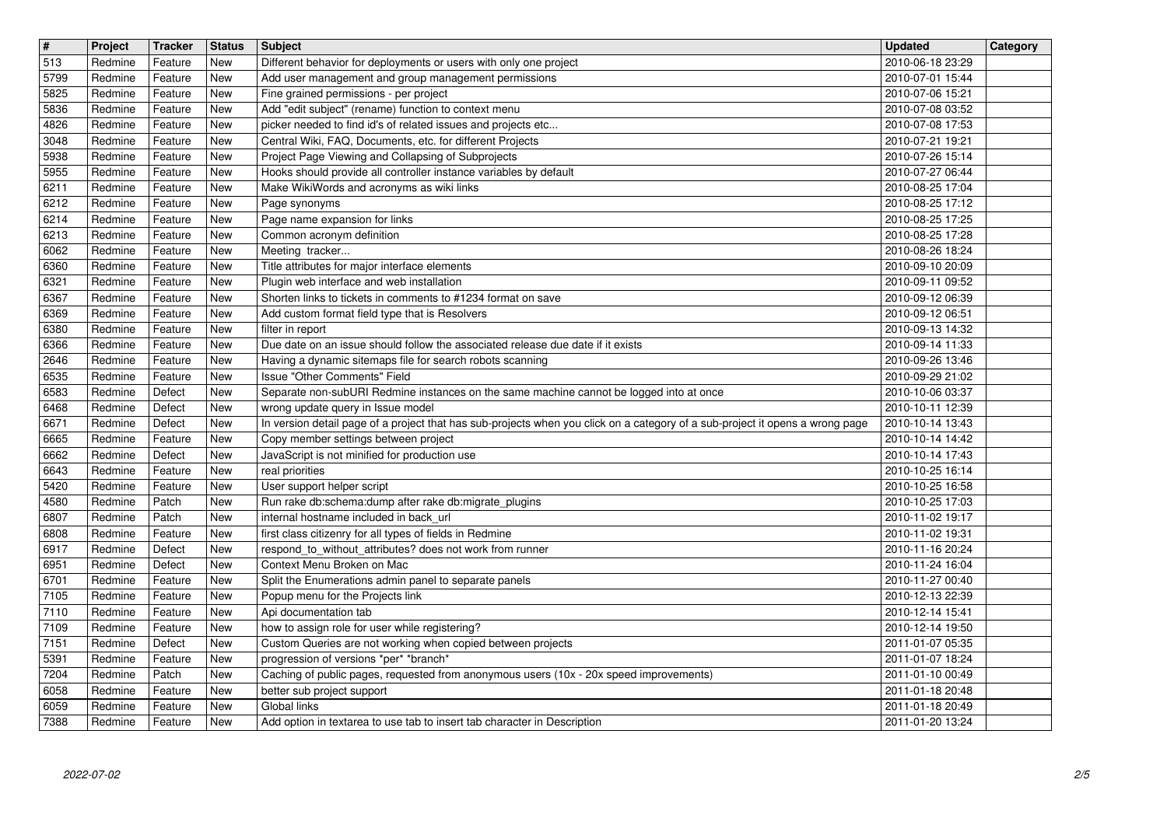| $\overline{\mathbf{H}}$ | Project            | Tracker<br>Feature | <b>Status</b>     | <b>Subject</b>                                                                                                                                                        | <b>Updated</b>                       | Category |
|-------------------------|--------------------|--------------------|-------------------|-----------------------------------------------------------------------------------------------------------------------------------------------------------------------|--------------------------------------|----------|
| 513<br>5799             | Redmine<br>Redmine | Feature            | New<br>New        | Different behavior for deployments or users with only one project<br>Add user management and group management permissions                                             | 2010-06-18 23:29<br>2010-07-01 15:44 |          |
| 5825<br>5836            | Redmine<br>Redmine | Feature<br>Feature | New<br>New        | Fine grained permissions - per project<br>Add "edit subject" (rename) function to context menu                                                                        | 2010-07-06 15:21<br>2010-07-08 03:52 |          |
| 4826                    | Redmine            | Feature            | New               | picker needed to find id's of related issues and projects etc                                                                                                         | 2010-07-08 17:53                     |          |
| 3048                    | Redmine            | Feature            | New               | Central Wiki, FAQ, Documents, etc. for different Projects                                                                                                             | 2010-07-21 19:21                     |          |
| 5938<br>5955            | Redmine<br>Redmine | Feature<br>Feature | New<br>New        | Project Page Viewing and Collapsing of Subprojects<br>Hooks should provide all controller instance variables by default                                               | 2010-07-26 15:14<br>2010-07-27 06:44 |          |
| 6211<br>6212            | Redmine<br>Redmine | Feature<br>Feature | New<br><b>New</b> | Make WikiWords and acronyms as wiki links                                                                                                                             | 2010-08-25 17:04<br>2010-08-25 17:12 |          |
| 6214                    | Redmine            | Feature            | New               | Page synonyms<br>Page name expansion for links                                                                                                                        | 2010-08-25 17:25                     |          |
| 6213<br>6062            | Redmine<br>Redmine | Feature<br>Feature | <b>New</b><br>New | Common acronym definition<br>Meeting tracker                                                                                                                          | 2010-08-25 17:28<br>2010-08-26 18:24 |          |
| 6360                    | Redmine            | Feature            | New               | Title attributes for major interface elements                                                                                                                         | 2010-09-10 20:09                     |          |
| 6321<br>6367            | Redmine<br>Redmine | Feature<br>Feature | New<br>New        | Plugin web interface and web installation<br>Shorten links to tickets in comments to #1234 format on save                                                             | 2010-09-11 09:52<br>2010-09-12 06:39 |          |
| 6369                    | Redmine            | Feature            | New               | Add custom format field type that is Resolvers                                                                                                                        | 2010-09-12 06:51                     |          |
| 6380<br>6366            | Redmine<br>Redmine | Feature<br>Feature | New<br>New        | filter in report<br>Due date on an issue should follow the associated release due date if it exists                                                                   | 2010-09-13 14:32<br>2010-09-14 11:33 |          |
| 2646                    | Redmine            | Feature            | New               | Having a dynamic sitemaps file for search robots scanning                                                                                                             | 2010-09-26 13:46                     |          |
| 6535<br>6583            | Redmine<br>Redmine | Feature<br>Defect  | New<br>New        | Issue "Other Comments" Field<br>Separate non-subURI Redmine instances on the same machine cannot be logged into at once                                               | 2010-09-29 21:02<br>2010-10-06 03:37 |          |
| 6468                    | Redmine            | Defect             | New               | wrong update query in Issue model                                                                                                                                     | 2010-10-11 12:39                     |          |
| 6671<br>6665            | Redmine<br>Redmine | Defect<br>Feature  | New<br>New        | In version detail page of a project that has sub-projects when you click on a category of a sub-project it opens a wrong page<br>Copy member settings between project | 2010-10-14 13:43<br>2010-10-14 14:42 |          |
| 6662                    | Redmine            | Defect             | New               | JavaScript is not minified for production use                                                                                                                         | 2010-10-14 17:43                     |          |
| 6643<br>5420            | Redmine<br>Redmine | Feature<br>Feature | New<br><b>New</b> | real priorities<br>User support helper script                                                                                                                         | 2010-10-25 16:14<br>2010-10-25 16:58 |          |
| 4580                    | Redmine            | Patch              | <b>New</b>        | Run rake db:schema:dump after rake db:migrate_plugins                                                                                                                 | 2010-10-25 17:03                     |          |
| 6807<br>6808            | Redmine<br>Redmine | Patch<br>Feature   | New<br>New        | internal hostname included in back_url<br>first class citizenry for all types of fields in Redmine                                                                    | 2010-11-02 19:17<br>2010-11-02 19:31 |          |
| 6917                    | Redmine            | Defect             | New               | respond_to_without_attributes? does not work from runner                                                                                                              | 2010-11-16 20:24                     |          |
| 6951<br>6701            | Redmine<br>Redmine | Defect<br>Feature  | New<br>New        | Context Menu Broken on Mac<br>Split the Enumerations admin panel to separate panels                                                                                   | 2010-11-24 16:04<br>2010-11-27 00:40 |          |
| 7105                    | Redmine            | Feature            | New               | Popup menu for the Projects link                                                                                                                                      | 2010-12-13 22:39                     |          |
| 7110<br>7109            | Redmine<br>Redmine | Feature<br>Feature | New<br>New        | Api documentation tab<br>how to assign role for user while registering?                                                                                               | 2010-12-14 15:41<br>2010-12-14 19:50 |          |
| 7151                    | Redmine            | Defect             | New               | Custom Queries are not working when copied between projects                                                                                                           | 2011-01-07 05:35                     |          |
| 5391<br>7204            | Redmine<br>Redmine | Feature<br>Patch   | New<br>New        | progression of versions *per* *branch*<br>Caching of public pages, requested from anonymous users (10x - 20x speed improvements)                                      | 2011-01-07 18:24<br>2011-01-10 00:49 |          |
| 6058                    | Redmine            | Feature            | New               | better sub project support                                                                                                                                            | 2011-01-18 20:48                     |          |
| 6059<br>7388            | Redmine<br>Redmine | Feature<br>Feature | New<br>New        | Global links<br>Add option in textarea to use tab to insert tab character in Description                                                                              | 2011-01-18 20:49<br>2011-01-20 13:24 |          |
|                         |                    |                    |                   |                                                                                                                                                                       |                                      |          |
|                         |                    |                    |                   |                                                                                                                                                                       |                                      |          |
|                         |                    |                    |                   |                                                                                                                                                                       |                                      |          |
|                         |                    |                    |                   |                                                                                                                                                                       |                                      |          |
|                         |                    |                    |                   |                                                                                                                                                                       |                                      |          |
|                         |                    |                    |                   |                                                                                                                                                                       |                                      |          |
|                         |                    |                    |                   |                                                                                                                                                                       |                                      |          |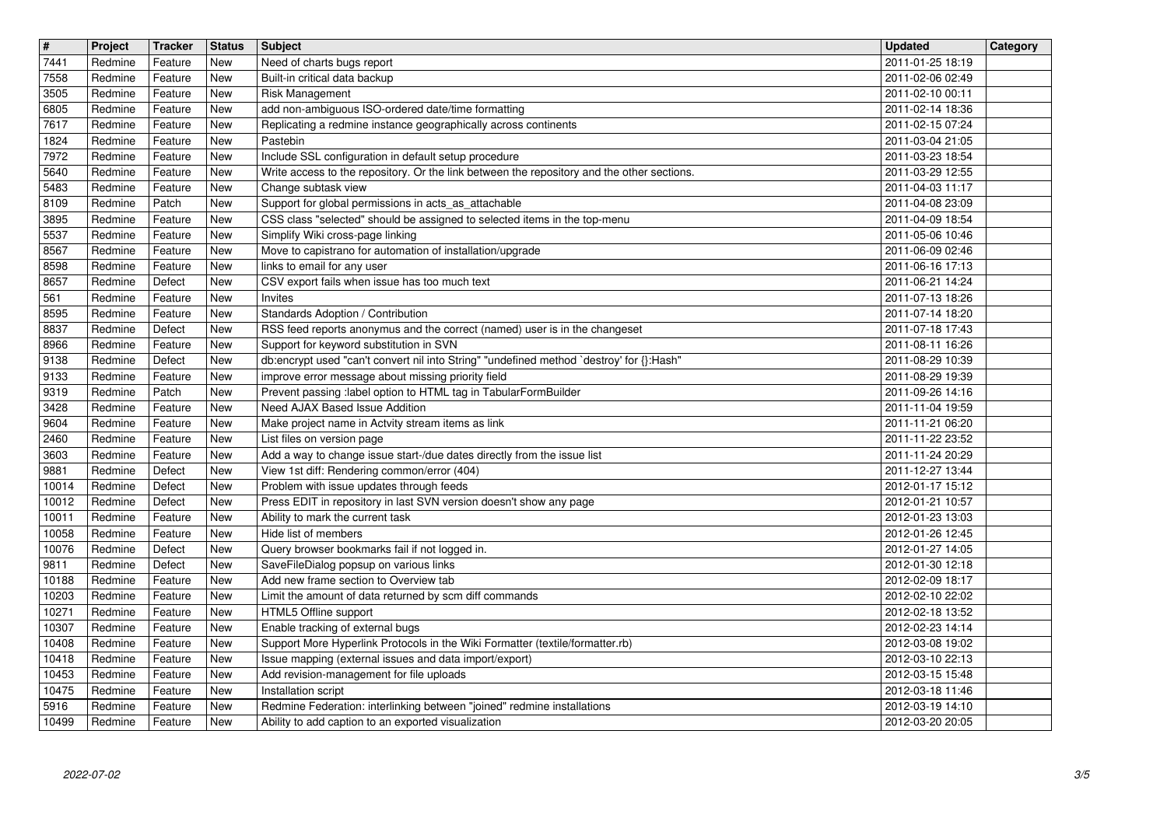| $\sqrt{t}$<br>7441 | Project<br>Redmine | Tracker<br>Feature | <b>Status</b><br>New | <b>Subject</b>                                                                                                                      | <b>Updated</b>                       | Category |
|--------------------|--------------------|--------------------|----------------------|-------------------------------------------------------------------------------------------------------------------------------------|--------------------------------------|----------|
| 7558               | Redmine            | Feature            | New                  | Need of charts bugs report<br>Built-in critical data backup                                                                         | 2011-01-25 18:19<br>2011-02-06 02:49 |          |
| 3505<br>6805       | Redmine<br>Redmine | Feature<br>Feature | New<br>New           | <b>Risk Management</b><br>add non-ambiguous ISO-ordered date/time formatting                                                        | 2011-02-10 00:11<br>2011-02-14 18:36 |          |
| 7617               | Redmine            | Feature            | New                  | Replicating a redmine instance geographically across continents                                                                     | 2011-02-15 07:24                     |          |
| 1824<br>7972       | Redmine<br>Redmine | Feature<br>Feature | New<br>New           | Pastebin<br>Include SSL configuration in default setup procedure                                                                    | 2011-03-04 21:05<br>2011-03-23 18:54 |          |
| 5640               | Redmine            | Feature            | New                  | Write access to the repository. Or the link between the repository and the other sections.                                          | 2011-03-29 12:55                     |          |
| 5483<br>8109       | Redmine<br>Redmine | Feature<br>Patch   | New<br><b>New</b>    | Change subtask view<br>Support for global permissions in acts_as_attachable                                                         | 2011-04-03 11:17<br>2011-04-08 23:09 |          |
| 3895<br>5537       | Redmine<br>Redmine | Feature<br>Feature | New<br>New           | CSS class "selected" should be assigned to selected items in the top-menu<br>Simplify Wiki cross-page linking                       | 2011-04-09 18:54<br>2011-05-06 10:46 |          |
| 8567               | Redmine            | Feature            | New                  | Move to capistrano for automation of installation/upgrade                                                                           | 2011-06-09 02:46                     |          |
| 8598<br>8657       | Redmine<br>Redmine | Feature<br>Defect  | New<br>New           | links to email for any user<br>CSV export fails when issue has too much text                                                        | 2011-06-16 17:13<br>2011-06-21 14:24 |          |
| 561<br>8595        | Redmine<br>Redmine | Feature<br>Feature | New<br>New           | Invites<br>Standards Adoption / Contribution                                                                                        | 2011-07-13 18:26<br>2011-07-14 18:20 |          |
| 8837               | Redmine            | Defect             | <b>New</b>           | RSS feed reports anonymus and the correct (named) user is in the changeset                                                          | 2011-07-18 17:43                     |          |
| 8966<br>9138       | Redmine<br>Redmine | Feature<br>Defect  | New<br><b>New</b>    | Support for keyword substitution in SVN<br>db:encrypt used "can't convert nil into String" "undefined method `destroy' for {}:Hash" | 2011-08-11 16:26<br>2011-08-29 10:39 |          |
| 9133<br>9319       | Redmine<br>Redmine | Feature<br>Patch   | New<br>New           | improve error message about missing priority field<br>Prevent passing :label option to HTML tag in TabularFormBuilder               | 2011-08-29 19:39<br>2011-09-26 14:16 |          |
| 3428               | Redmine            | Feature            | New                  | Need AJAX Based Issue Addition                                                                                                      | 2011-11-04 19:59                     |          |
| 9604<br>2460       | Redmine<br>Redmine | Feature<br>Feature | New<br>New           | Make project name in Actvity stream items as link<br>List files on version page                                                     | 2011-11-21 06:20<br>2011-11-22 23:52 |          |
| 3603<br>9881       | Redmine<br>Redmine | Feature<br>Defect  | New<br>New           | Add a way to change issue start-/due dates directly from the issue list<br>View 1st diff: Rendering common/error (404)              | 2011-11-24 20:29<br>2011-12-27 13:44 |          |
| 10014              | Redmine            | Defect             | New                  | Problem with issue updates through feeds                                                                                            | 2012-01-17 15:12                     |          |
| 10012<br>10011     | Redmine<br>Redmine | Defect<br>Feature  | New<br>New           | Press EDIT in repository in last SVN version doesn't show any page<br>Ability to mark the current task                              | 2012-01-21 10:57<br>2012-01-23 13:03 |          |
| 10058<br>10076     | Redmine<br>Redmine | Feature<br>Defect  | New<br>New           | Hide list of members<br>Query browser bookmarks fail if not logged in.                                                              | 2012-01-26 12:45<br>2012-01-27 14:05 |          |
| 9811               | Redmine            | Defect             | New                  | SaveFileDialog popsup on various links                                                                                              | 2012-01-30 12:18                     |          |
| 10188<br>10203     | Redmine<br>Redmine | Feature<br>Feature | New<br>New           | Add new frame section to Overview tab<br>Limit the amount of data returned by scm diff commands                                     | 2012-02-09 18:17<br>2012-02-10 22:02 |          |
| 10271<br>10307     | Redmine<br>Redmine | Feature<br>Feature | New<br>New           | HTML5 Offline support<br>Enable tracking of external bugs                                                                           | 2012-02-18 13:52<br>2012-02-23 14:14 |          |
| 10408              | Redmine            | Feature            | New                  | Support More Hyperlink Protocols in the Wiki Formatter (textile/formatter.rb)                                                       | 2012-03-08 19:02                     |          |
| 10418<br>10453     | Redmine<br>Redmine | Feature<br>Feature | New<br>New           | Issue mapping (external issues and data import/export)<br>Add revision-management for file uploads                                  | 2012-03-10 22:13<br>2012-03-15 15:48 |          |
| 10475              | Redmine            | Feature            | New                  | Installation script                                                                                                                 | 2012-03-18 11:46                     |          |
| 5916<br>10499      | Redmine<br>Redmine | Feature<br>Feature | New<br>New           | Redmine Federation: interlinking between "joined" redmine installations<br>Ability to add caption to an exported visualization      | 2012-03-19 14:10<br>2012-03-20 20:05 |          |
|                    |                    |                    |                      |                                                                                                                                     |                                      |          |
|                    |                    |                    |                      |                                                                                                                                     |                                      |          |
|                    |                    |                    |                      |                                                                                                                                     |                                      |          |
|                    |                    |                    |                      |                                                                                                                                     |                                      |          |
|                    |                    |                    |                      |                                                                                                                                     |                                      |          |
|                    |                    |                    |                      |                                                                                                                                     |                                      |          |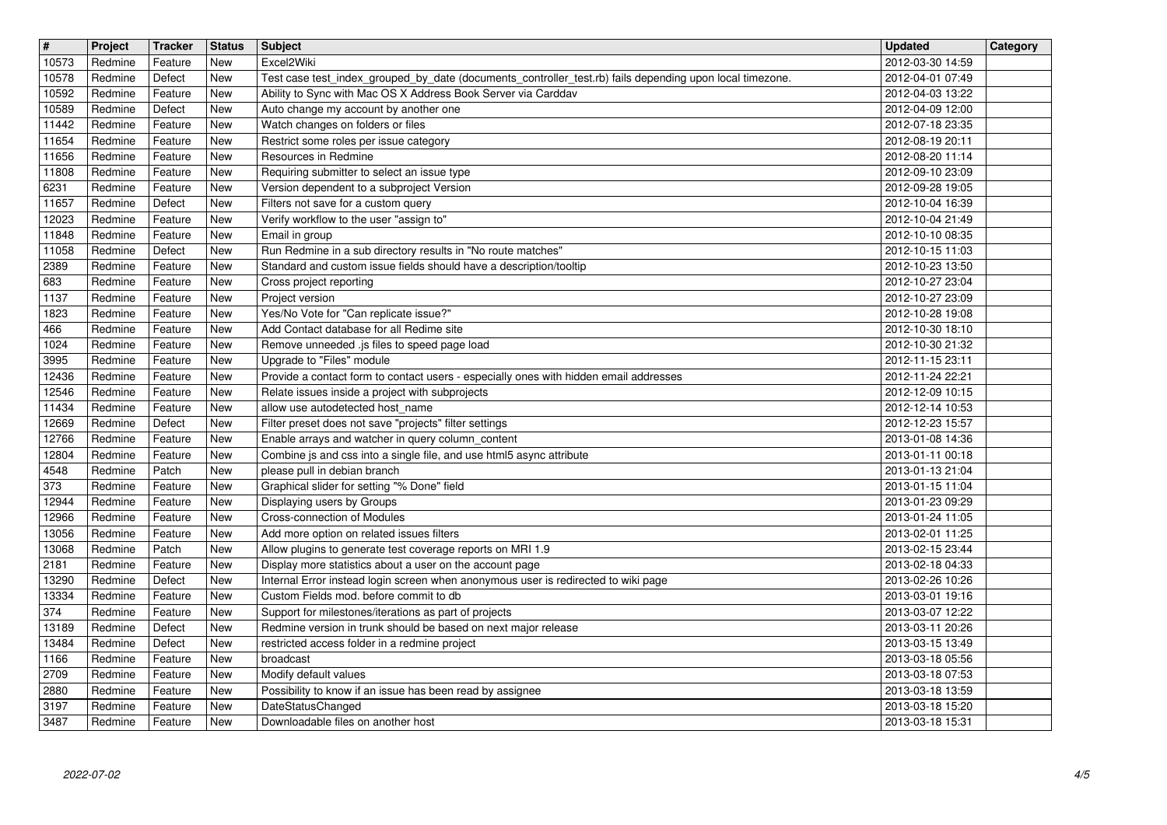| $\overline{\mathbf{H}}$<br>10573 | Project<br>Redmine | Tracker<br>Feature | <b>Status</b><br>New     | <b>Subject</b><br>Excel2Wiki                                                                                                             | <b>Updated</b><br>2012-03-30 14:59   | Category |
|----------------------------------|--------------------|--------------------|--------------------------|------------------------------------------------------------------------------------------------------------------------------------------|--------------------------------------|----------|
| 10578                            | Redmine            | Defect             | New                      | Test case test_index_grouped_by_date (documents_controller_test.rb) fails depending upon local timezone.                                 | 2012-04-01 07:49                     |          |
| 10592<br>10589                   | Redmine<br>Redmine | Feature<br>Defect  | New<br>New               | Ability to Sync with Mac OS X Address Book Server via Carddav<br>Auto change my account by another one                                   | 2012-04-03 13:22<br>2012-04-09 12:00 |          |
| 11442                            | Redmine            | Feature<br>Feature | New                      | Watch changes on folders or files                                                                                                        | 2012-07-18 23:35                     |          |
| 11654<br>11656                   | Redmine<br>Redmine | Feature            | New<br>New               | Restrict some roles per issue category<br>Resources in Redmine                                                                           | 2012-08-19 20:11<br>2012-08-20 11:14 |          |
| 11808<br>6231                    | Redmine<br>Redmine | Feature<br>Feature | New<br>New               | Requiring submitter to select an issue type<br>Version dependent to a subproject Version                                                 | 2012-09-10 23:09<br>2012-09-28 19:05 |          |
| 11657                            | Redmine            | Defect             | New                      | Filters not save for a custom query                                                                                                      | 2012-10-04 16:39                     |          |
| 12023<br>11848                   | Redmine<br>Redmine | Feature<br>Feature | New<br>New               | Verify workflow to the user "assign to"<br>Email in group                                                                                | 2012-10-04 21:49<br>2012-10-10 08:35 |          |
| 11058<br>2389                    | Redmine<br>Redmine | Defect<br>Feature  | New<br>New               | Run Redmine in a sub directory results in "No route matches"<br>Standard and custom issue fields should have a description/tooltip       | 2012-10-15 11:03<br>2012-10-23 13:50 |          |
| 683                              | Redmine            | Feature            | New                      | Cross project reporting                                                                                                                  | 2012-10-27 23:04                     |          |
| 1137<br>1823                     | Redmine<br>Redmine | Feature<br>Feature | New<br>New               | Project version<br>Yes/No Vote for "Can replicate issue?"                                                                                | 2012-10-27 23:09<br>2012-10-28 19:08 |          |
| 466<br>1024                      | Redmine<br>Redmine | Feature<br>Feature | New<br>New               | Add Contact database for all Redime site<br>Remove unneeded .js files to speed page load                                                 | 2012-10-30 18:10<br>2012-10-30 21:32 |          |
| 3995                             | Redmine            | Feature            | New                      | Upgrade to "Files" module                                                                                                                | 2012-11-15 23:11                     |          |
| 12436<br>12546                   | Redmine<br>Redmine | Feature<br>Feature | New<br>New               | Provide a contact form to contact users - especially ones with hidden email addresses<br>Relate issues inside a project with subprojects | 2012-11-24 22:21<br>2012-12-09 10:15 |          |
| 11434<br>12669                   | Redmine<br>Redmine | Feature<br>Defect  | New<br>New               | allow use autodetected host_name<br>Filter preset does not save "projects" filter settings                                               | 2012-12-14 10:53<br>2012-12-23 15:57 |          |
| 12766                            | Redmine            | Feature            | New                      | Enable arrays and watcher in query column_content                                                                                        | 2013-01-08 14:36                     |          |
| 12804<br>4548                    | Redmine<br>Redmine | Feature<br>Patch   | New<br>New               | Combine js and css into a single file, and use html5 async attribute<br>please pull in debian branch                                     | 2013-01-11 00:18<br>2013-01-13 21:04 |          |
| 373<br>12944                     | Redmine<br>Redmine | Feature<br>Feature | New<br><b>New</b>        | Graphical slider for setting "% Done" field<br>Displaying users by Groups                                                                | 2013-01-15 11:04<br>2013-01-23 09:29 |          |
| 12966                            | Redmine            | Feature            | New                      | Cross-connection of Modules                                                                                                              | 2013-01-24 11:05                     |          |
| 13056<br>13068                   | Redmine<br>Redmine | Feature<br>Patch   | <b>New</b><br><b>New</b> | Add more option on related issues filters<br>Allow plugins to generate test coverage reports on MRI 1.9                                  | 2013-02-01 11:25<br>2013-02-15 23:44 |          |
| 2181<br>13290                    | Redmine<br>Redmine | Feature<br>Defect  | New<br>New               | Display more statistics about a user on the account page                                                                                 | 2013-02-18 04:33<br>2013-02-26 10:26 |          |
| 13334                            | Redmine            | Feature            | New                      | Internal Error instead login screen when anonymous user is redirected to wiki page<br>Custom Fields mod. before commit to db             | 2013-03-01 19:16                     |          |
| 374<br>13189                     | Redmine<br>Redmine | Feature<br>Defect  | New<br>New               | Support for milestones/iterations as part of projects<br>Redmine version in trunk should be based on next major release                  | 2013-03-07 12:22<br>2013-03-11 20:26 |          |
| 13484                            | Redmine<br>Redmine | Defect<br>Feature  | New<br><b>New</b>        | restricted access folder in a redmine project                                                                                            | 2013-03-15 13:49                     |          |
| 1166<br>2709                     | Redmine            | Feature            | New                      | broadcast<br>Modify default values                                                                                                       | 2013-03-18 05:56<br>2013-03-18 07:53 |          |
| 2880<br>3197                     | Redmine<br>Redmine | Feature<br>Feature | New<br>New               | Possibility to know if an issue has been read by assignee<br>DateStatusChanged                                                           | 2013-03-18 13:59<br>2013-03-18 15:20 |          |
| 3487                             | Redmine            | Feature            | New                      | Downloadable files on another host                                                                                                       | 2013-03-18 15:31                     |          |
|                                  |                    |                    |                          |                                                                                                                                          |                                      |          |
|                                  |                    |                    |                          |                                                                                                                                          |                                      |          |
|                                  |                    |                    |                          |                                                                                                                                          |                                      |          |
|                                  |                    |                    |                          |                                                                                                                                          |                                      |          |
|                                  |                    |                    |                          |                                                                                                                                          |                                      |          |
|                                  |                    |                    |                          |                                                                                                                                          |                                      |          |
|                                  |                    |                    |                          |                                                                                                                                          |                                      |          |